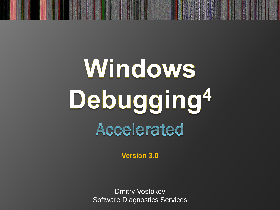# Windows Debugging<sup>4</sup> **Accelerated**

**Version 3.0**

Dmitry Vostokov Software Diagnostics Services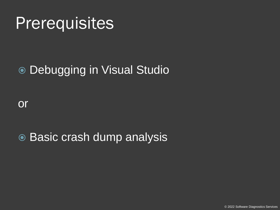#### **Prerequisites**

#### Debugging in Visual Studio

or

● Basic crash dump analysis

© 2022 Software Diagnostics Services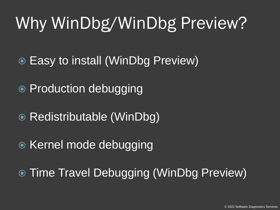## Why WinDbg/WinDbg Preview?

- Easy to install (WinDbg Preview)
- Production debugging
- Redistributable (WinDbg)
- Kernel mode debugging
- **Time Travel Debugging (WinDbg Preview)**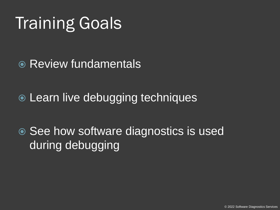## Training Goals

- **Review fundamentals**
- Learn live debugging techniques

● See how software diagnostics is used during debugging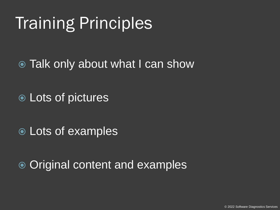## Training Principles

• Talk only about what I can show

Lots of pictures

Lots of examples

**■ Original content and examples**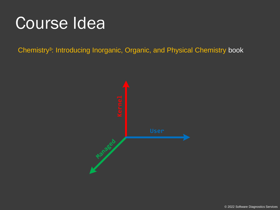#### Course Idea

Chemistry<sup>3</sup>: Introducing Inorganic, Organic, and Physical Chemistry book

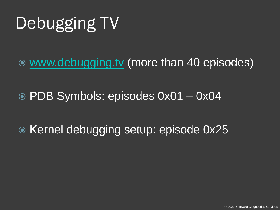## Debugging TV

[www.debugging.tv](http://www.debugging.tv/) (more than 40 episodes)

PDB Symbols: episodes 0x01 – 0x04

**■ Kernel debugging setup: episode 0x25**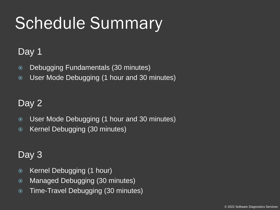## Schedule Summary

#### Day 1

- Debugging Fundamentals (30 minutes)
- User Mode Debugging (1 hour and 30 minutes)

#### Day 2

- User Mode Debugging (1 hour and 30 minutes)
- Kernel Debugging (30 minutes)

#### Day 3

- Kernel Debugging (1 hour)
- Managed Debugging (30 minutes)
- Time-Travel Debugging (30 minutes)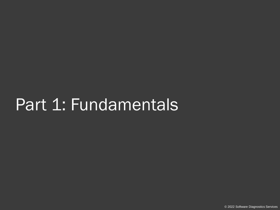#### Part 1: Fundamentals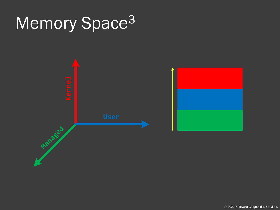## Memory Space<sup>3</sup>

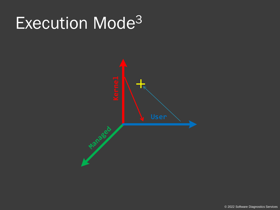#### Execution Mode<sup>3</sup>

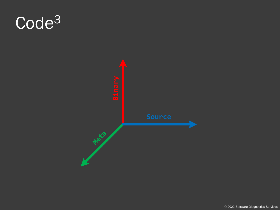## Code<sup>3</sup>

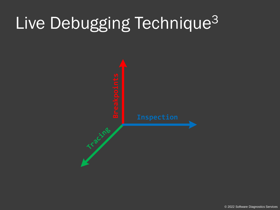## Live Debugging Technique<sup>3</sup>

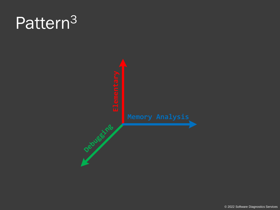### Pattern<sup>3</sup>

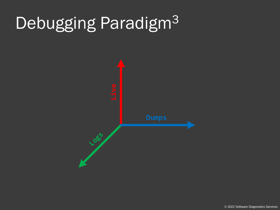## Debugging Paradigm<sup>3</sup>

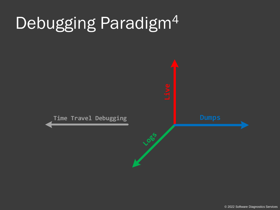## Debugging Paradigm<sup>4</sup>

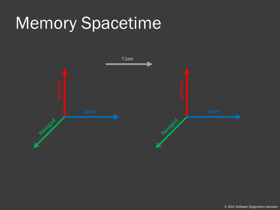### Memory Spacetime

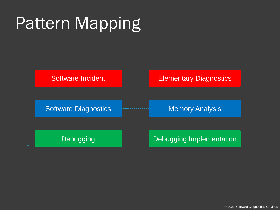## Pattern Mapping

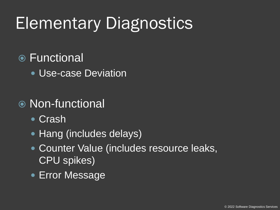## Elementary Diagnostics

#### **■** Functional

Use-case Deviation

#### Non-functional

- **Crash**
- Hang (includes delays)
- Counter Value (includes resource leaks, CPU spikes)
- Error Message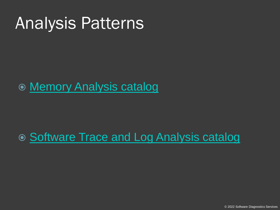#### Analysis Patterns

#### [Memory Analysis catalog](http://www.dumpanalysis.org/blog/index.php/crash-dump-analysis-patterns/)

#### ● [Software Trace and Log Analysis catalog](http://www.dumpanalysis.org/blog/index.php/trace-analysis-patterns/)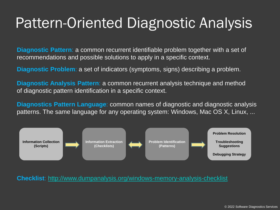#### Pattern-Oriented Diagnostic Analysis

**Diagnostic Pattern**: a common recurrent identifiable problem together with a set of recommendations and possible solutions to apply in a specific context.

**Diagnostic Problem**: a set of indicators (symptoms, signs) describing a problem.

**Diagnostic Analysis Pattern**: a common recurrent analysis technique and method of diagnostic pattern identification in a specific context.

**Diagnostics Pattern Language**: common names of diagnostic and diagnostic analysis patterns. The same language for any operating system: Windows, Mac OS X, Linux, ...



**Checklist**:<http://www.dumpanalysis.org/windows-memory-analysis-checklist>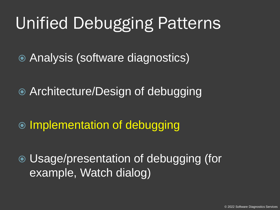### Unified Debugging Patterns

Analysis (software diagnostics)

Architecture/Design of debugging

 $\odot$  Implementation of debugging

 Usage/presentation of debugging (for example, Watch dialog)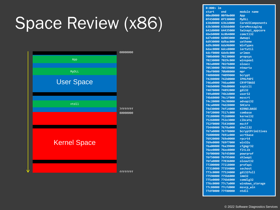## Space Review (x86)



| 1m<br>0:000>    |                   |                         |
|-----------------|-------------------|-------------------------|
| start           | end               | module name             |
|                 | 00ed0000 00f0e000 | App                     |
|                 | 0f450000 0f530000 | <b>MyDLL</b>            |
|                 | 638d0000 63b2d000 | <b>CoreUIComponents</b> |
|                 | 63b30000 63bbb000 | CoreMessaging           |
|                 | 642d0000 64435000 | twinapi_appcore         |
|                 | 6beb0000 6c0b4000 | control32               |
|                 | 6d7e0000 6d803000 | dwmapi                  |
|                 | 6d930000 6d9ac000 | uxtheme                 |
|                 | 6d9c0000 6da96000 | WinTypes                |
|                 | 6dac0000 6dce8000 | iertutil                |
|                 | 6dcf0000 6de8c000 | urlmon                  |
|                 | 700b0000 70230000 | <b>propsys</b>          |
|                 | 70230000 7029c000 | winspool                |
|                 | 702a0000 702f6000 | oleacc                  |
|                 | 70530000 70559000 | ntmarta                 |
|                 | 70af0000 70b08000 | mpr                     |
|                 | 74080000 74099000 | bcrypt                  |
|                 | 74280000 742b0000 | <b>IPHLPAPI</b>         |
|                 | 746a0000 746aa000 | <b>CRYPTBASE</b>        |
|                 | 746b0000 746d0000 | sspicli                 |
|                 | 74870000 74892000 | gdi32                   |
|                 | 749a0000 74b2d000 | user32                  |
|                 | 74b60000 74c1f000 | msvcrt                  |
|                 | 74c20000 74c98000 | advapi32                |
|                 | 74ca0000 74d28000 | <b>SHCore</b>           |
|                 | 74d30000 74f14000 | <b>KERNELBASE</b>       |
|                 | 74f20000 7517c000 | combase                 |
|                 | 75180000 75260000 | kerne132                |
|                 | 75260000 752e3000 | clbcatq                 |
|                 | 752f0000 75434000 | msctf                   |
| 75440000        | 7678a000          | shell32                 |
|                 | 767a0000 767f8000 | bcryptPrimitives        |
| 76800000        | 7691e000          | ucrtbase                |
| 76920000        | 769e0000          | rpcrt4                  |
| 769e0000        | 769f7000          | win32u                  |
|                 | 76a00000 76a39000 | cfgmgr32                |
| <b>76ee0000</b> | 76ee8000          | fltLib                  |
|                 | 76f00000 76f45000 | powrprof                |
| 76f50000        | 76f95000          | shlwapi                 |
|                 | 76fa0000 77036000 | oleaut32                |
| 77200000        | 77218000          | profapi                 |
|                 | 77310000 77354000 | sechost                 |
| 773c0000        | 77524000          | gdi32full               |
|                 | 77590000 775b6000 | imm32                   |
|                 | 775e0000 776b6000 | cond1g32                |
|                 | 776c0000 77c7a000 | windows_storage         |
|                 | 77c80000 77cfd000 | msvcp win               |
|                 | 77df0000 77f80000 | ntdll                   |
|                 |                   |                         |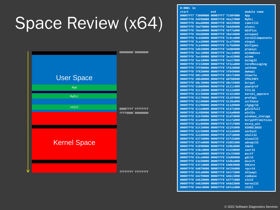## Space Review (x64)



**0:000> lm start end module name 00007ff7`73080000 00007ff7`7330f000 App 00007ff8`44990000 00007ff8`44a27000 MyDLL 00007ff8`46ad0000 00007ff8`46d39000 comctl32 00007ff8`56d70000 00007ff8`56ddb000 oleacc 00007ff8`56de0000 00007ff8`56f7a000 GdiPlus 00007ff8`58dd0000 00007ff8`58e54000 winspool** 00007ff8`5c6b0000 00007ff8`5c9ce000 **00007ff8`5ca10000 00007ff8`5ca75000 ninput 00007ff8`5ce40000 00007ff8`5cf8d000 WinTypes 00007ff8`5db50000 00007ff8`5dd04000 propsys 00007ff8`5ec10000 00007ff8`5ec3a000 winmmbase 00007ff8`5ec40000 00007ff8`5ec63000 winmm 00007ff8`5ee10000 00007ff8`5ee17000 msimg32 00007ff8`5f210000 00007ff8`5f2ea000 CoreMessaging 00007ff8`5f590000 00007ff8`5f628000 uxtheme 00007ff8`5f820000 00007ff8`5f849000 dwmapi 00007ff8`601c0000 00007ff8`601f1000 ntmarta** 00007ff8`606d0000 00007ff8`60708000 **00007ff8`60c30000 00007ff8`60c55000 bcrypt 00007ff8`610d0000 00007ff8`6111c000 powrprof 00007ff8`61120000 00007ff8`6112a000 fltLib 00007ff8`61150000 00007ff8`61161000 kernel\_appcore 00007ff8`61170000 00007ff8`6118f000 profapi 00007ff8`61190000 00007ff8`6128a000 ucrtbase 00007ff8`61290000 00007ff8`612d9000 cfgmgr32 00007ff8`612e0000 00007ff8`61472000 gdi32full 00007ff8`61480000 00007ff8`614a0000 win32u 00007ff8`616f0000 00007ff8`61dfd000 windows\_storage 00007ff8`61e00000 00007ff8`61e7a000 bcryptPrimitives 00007ff8`61e80000 00007ff8`61f1f000 msvcp\_win 00007ff8`61f20000 00007ff8`62193000 KERNELBASE 00007ff8`62250000 00007ff8`622ab000 sechost 00007ff8`622d0000 00007ff8`63710000 shell32 00007ff8`63710000 00007ff8`637d2000 oleaut32 00007ff8`637e0000 00007ff8`63881000 advapi32 00007ff8`63890000 00007ff8`638bd000 imm32 00007ff8`638c0000 00007ff8`63a50000 user32 00007ff8`63ae0000 00007ff8`63c55000 msctf 00007ff8`63ce0000 00007ff8`63d08000 gdi32 00007ff8`63d20000 00007ff8`63dbe000 msvcrt 00007ff8`63fc0000 00007ff8`64069000 SHCore 00007ff8`64070000 00007ff8`64194000 rpcrt4 00007ff8`641a0000 00007ff8`641f1000 shlwapi 00007ff8`642f0000 00007ff8`64613000 combase 00007ff8`64620000 00007ff8`64771000 ole32 00007ff8`64820000 00007ff8`648d2000 kernel32 00007ff8`64dc0000 00007ff8`64fa1000 ntdll**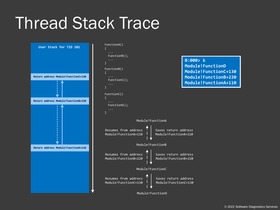#### Thread Stack Trace



#### **0:000> k Module!FunctionD Module!FunctionC+130 Module!FunctionB+220 Module!FunctionA+110**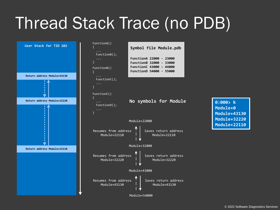### Thread Stack Trace (no PDB)

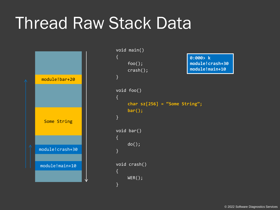#### Thread Raw Stack Data



```
void main()
{
    foo();
    crash();
}
void foo()
{
    char sz[256] = "Some String";
    bar();
}
void bar()
{
    do();
}
void crash()
\{WER();
}
                              0:000> k
                              module!crash+30
                              module!main+10
```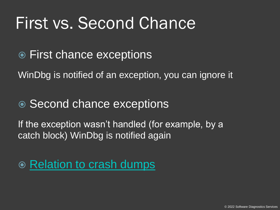#### First vs. Second Chance

**● First chance exceptions** 

WinDbg is notified of an exception, you can ignore it

#### • Second chance exceptions

If the exception wasn't handled (for example, by a catch block) WinDbg is notified again

• [Relation to crash dumps](http://www.dumpanalysis.org/blog/index.php/first-chance-exceptions-explained/)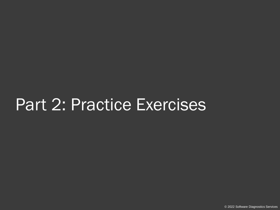#### Part 2: Practice Exercises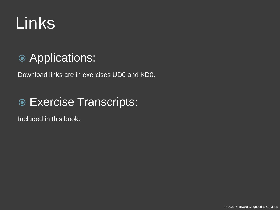## Links

#### **Applications:**

Download links are in exercises UD0 and KD0.

#### Exercise Transcripts:

Included in this book.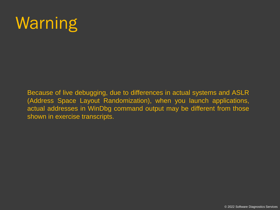### **Warning**

Because of live debugging, due to differences in actual systems and ASLR (Address Space Layout Randomization), when you launch applications, actual addresses in WinDbg command output may be different from those shown in exercise transcripts.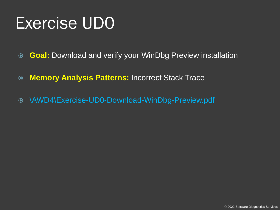- **Goal:** Download and verify your WinDbg Preview installation
- **Memory Analysis Patterns:** Incorrect Stack Trace
- \AWD4\Exercise-UD0-Download-WinDbg-Preview.pdf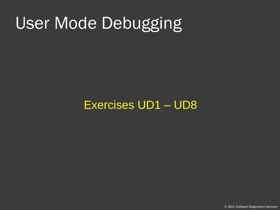#### User Mode Debugging

#### Exercises UD1 – UD8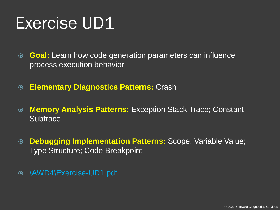**Goal:** Learn how code generation parameters can influence process execution behavior

- **Elementary Diagnostics Patterns:** Crash
- **Memory Analysis Patterns:** Exception Stack Trace; Constant **Subtrace**
- **Debugging Implementation Patterns:** Scope; Variable Value; Type Structure; Code Breakpoint
- \AWD4\Exercise-UD1.pdf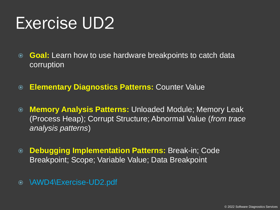- **Goal:** Learn how to use hardware breakpoints to catch data corruption
- **Elementary Diagnostics Patterns:** Counter Value
- **Memory Analysis Patterns:** Unloaded Module; Memory Leak (Process Heap); Corrupt Structure; Abnormal Value (*from trace analysis patterns*)
- **Debugging Implementation Patterns:** Break-in; Code Breakpoint; Scope; Variable Value; Data Breakpoint
- \AWD4\Exercise-UD2.pdf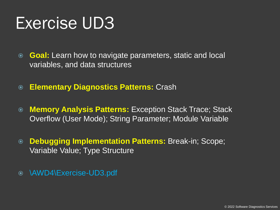- **Goal:** Learn how to navigate parameters, static and local variables, and data structures
- **Elementary Diagnostics Patterns:** Crash
- **Memory Analysis Patterns:** Exception Stack Trace; Stack Overflow (User Mode); String Parameter; Module Variable
- **Debugging Implementation Patterns:** Break-in; Scope; Variable Value; Type Structure
- \AWD4\Exercise-UD3.pdf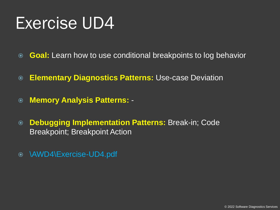- **Goal:** Learn how to use conditional breakpoints to log behavior
- **Elementary Diagnostics Patterns:** Use-case Deviation
- **Memory Analysis Patterns:** -
- **Debugging Implementation Patterns:** Break-in; Code Breakpoint; Breakpoint Action
- \AWD4\Exercise-UD4.pdf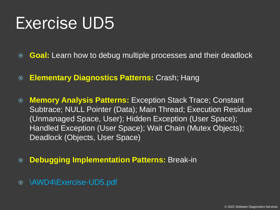- **Goal:** Learn how to debug multiple processes and their deadlock
- **Elementary Diagnostics Patterns:** Crash; Hang
- **Memory Analysis Patterns:** Exception Stack Trace; Constant Subtrace; NULL Pointer (Data); Main Thread; Execution Residue (Unmanaged Space, User); Hidden Exception (User Space); Handled Exception (User Space); Wait Chain (Mutex Objects); Deadlock (Objects, User Space)
- **Debugging Implementation Patterns:** Break-in
- \AWD4\Exercise-UD5.pdf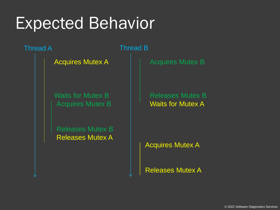#### Expected Behavior

Thread A Thread B

Acquires Mutex A

Waits for Mutex B Acquires Mutex B  $\parallel$   $\parallel$  Waits for Mutex A

Releases Mutex B Releases Mutex A

Acquires Mutex B

Releases Mutex B

Acquires Mutex A

Releases Mutex A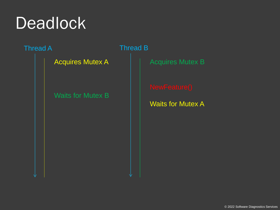### **Deadlock**

Thread A **Thread B** 

Acquires Mutex A

Waits for Mutex B

Acquires Mutex B

Waits for Mutex A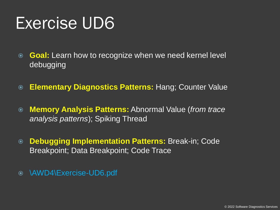- **Goal:** Learn how to recognize when we need kernel level debugging
- **Elementary Diagnostics Patterns:** Hang; Counter Value
- **Memory Analysis Patterns:** Abnormal Value (*from trace analysis patterns*); Spiking Thread
- **Debugging Implementation Patterns:** Break-in; Code Breakpoint; Data Breakpoint; Code Trace
- \AWD4\Exercise-UD6.pdf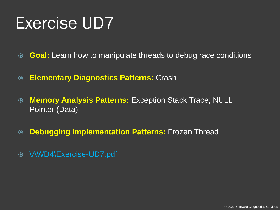- **Goal:** Learn how to manipulate threads to debug race conditions
- **Elementary Diagnostics Patterns:** Crash
- **Memory Analysis Patterns:** Exception Stack Trace; NULL Pointer (Data)
- **Debugging Implementation Patterns:** Frozen Thread
- \AWD4\Exercise-UD7.pdf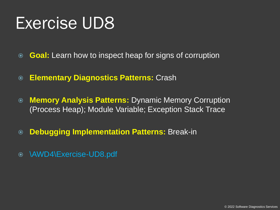- **Goal:** Learn how to inspect heap for signs of corruption
- **Elementary Diagnostics Patterns:** Crash
- **Memory Analysis Patterns:** Dynamic Memory Corruption (Process Heap); Module Variable; Exception Stack Trace
- **Debugging Implementation Patterns:** Break-in
- \AWD4\Exercise-UD8.pdf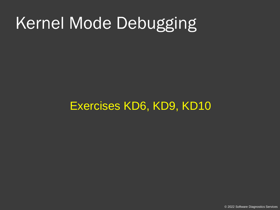## Kernel Mode Debugging

#### Exercises KD6, KD9, KD10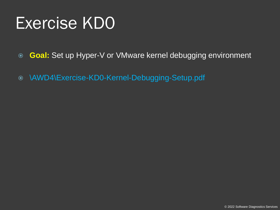- **Goal:** Set up Hyper-V or VMware kernel debugging environment
- \AWD4\Exercise-KD0-Kernel-Debugging-Setup.pdf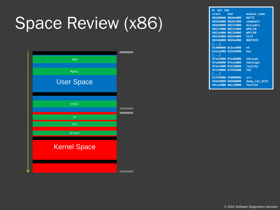## Space Review (x86)



| 0: kd> 1mk |                   |                |
|------------|-------------------|----------------|
| start      | end               | module name    |
|            | 80200000 8020a000 | <b>BATTC</b>   |
|            | 8020a000 8020c900 | compbatt       |
|            | 8020d000 80215000 | msisadrv       |
|            | 80215000 8021e000 | <b>WMILIB</b>  |
|            | 8021e000 8022b000 | <b>WDFLDR</b>  |
|            | 8022b000 80266000 | <b>CLFS</b>    |
|            | 80266000 8026e000 | <b>BOOTVID</b> |
| […]        |                   |                |
|            | 81800000 81ba1000 | nt             |
|            | 81ba1000 81bd5000 | hal            |
| []         |                   |                |
|            | 87eb3000 87ed6000 | ndiswan        |
|            | 87ed6000 87ee1000 | ndistapi       |
|            | 87ee1000 87ef8000 | ras12tp        |
|            | 87ef8000 87f03000 | <b>TDI</b>     |
| […]        |                   |                |
|            | 937b4000 93800000 | srv            |
|            | 9446d000 94480000 | dump LSI SCSI  |
|            | 96ca1000 96cc9000 | fastfat        |

© 2022 Software Diagnostics Services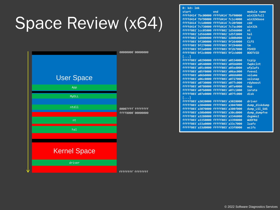## Space Review (x64)



| 0: kd > Imk                         |                    |                |
|-------------------------------------|--------------------|----------------|
| start                               | end                | module name    |
| ffffd414`7bc00000 ffffd414`7bf90000 |                    | win32kfull     |
| ffffd414`7bf90000 ffffd414`7c1c4000 |                    | win32kbase     |
| ffffd414`7c1d0000 ffffd414`7c20f000 |                    | cdd            |
| ffffd414`7c730000                   | ffffd414'7c7ac000  | win32k         |
| fffff602`1cc05000                   | fffff802`1d566000  | nt             |
| fffff602`1d566000                   | ffffff802`1d5f2000 | hal            |
| ffffff802`1d800000                  | ffffff802`1d80b000 | kd             |
| ffffff803`9f200000                  | ffffff803`9f264000 | <b>CLFS</b>    |
| ffffff803`9f270000                  | ffffff803`9f294000 | tm             |
| fffff803`9f2a0000 fffff803`9f2b7000 |                    | <b>PSHED</b>   |
| fffff803`9f2c0000 fffff803`9f2cb000 |                    | <b>BOOTVID</b> |
| […]                                 |                    |                |
| ffffff803`a0290000                  | ffffff803`a0534000 | tcpip          |
| fffff803`a0540000 fffff803`a05b6000 |                    | fwpkclnt       |
| fffff803`a05c0000 fffff803`a05ed000 |                    | wfplwfs        |
| fffff803`a05f0000 fffff803`a06ac000 |                    | <b>fvevol</b>  |
| ffffff803`a06b0000                  | fffff803`a06bb000  | volume         |
| ffffff803`a06c0000                  | ffffff803`a0727000 | volsnap        |
| ffffff803`a0730000                  | ffffff803`a077c000 | rdyboost       |
| ffffff803`a0780000                  | ffffff803`a07a4000 | mup            |
| fffff803`a07b0000                   | fffff803`a07c1000  | iorate         |
| ffffff803`a07e0000                  | ffffff803`a07fc000 | disk           |
| $\left[\ldots\right]$               |                    |                |
| ffffff803`a3020000                  | ffffff803`a3028000 | driver         |
| ffffff803`a3040000                  | ffffff803`a304f000 | dump diskdump  |
| ffffff803`a3070000                  | ffffff803`a308f000 | dump LSI SAS   |
| ffffff803`a30b0000                  | ffffff803`a30cd000 | dump_dumpfve   |
| ffffff803`a3280000                  | ffffff803`a3346000 | $dx$ gmms $2$  |
| ffffff803`a3350000                  | ffffff803`a3398000 | <b>WUDFRd</b>  |
| ffffff803`a33a0000                  | ffffff803`a33c7000 | <b>luafv</b>   |
| ffffff803`a33d0000                  | ffffff803`a33f8000 | wcifs          |
|                                     |                    |                |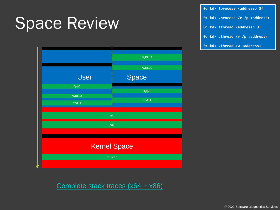#### Space Review



**0: kd> !process <address> 3f**

- **0: kd> .process /r /p <address>**
- **0: kd> !thread <address> 3f**
- **0: kd> .thread /r /p <address>**
- **0: kd> .thread /w <address>**

[Complete stack traces \(x64 + x86\)](http://www.dumpanalysis.org/blog/index.php/2010/02/09/complete-stack-traces-from-x64-system/)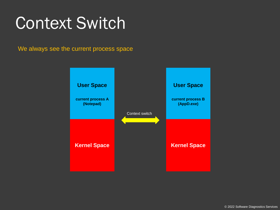#### Context Switch

We always see the current process space

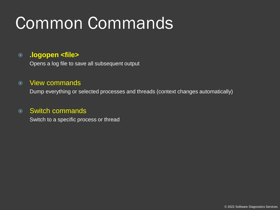## Common Commands

#### **.logopen <file>**

Opens a log file to save all subsequent output

#### View commands

Dump everything or selected processes and threads (context changes automatically)

#### Switch commands

Switch to a specific process or thread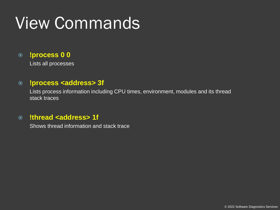## View Commands

#### **!process 0 0**

Lists all processes

#### **!process <address> 3f**

Lists process information including CPU times, environment, modules and its thread stack traces

#### **!thread <address> 1f**

Shows thread information and stack trace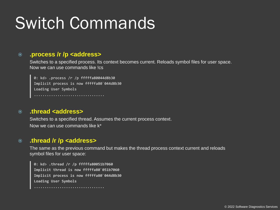### Switch Commands

#### **.process /r /p <address>**

Switches to a specified process. Its context becomes current. Reloads symbol files for user space. Now we can use commands like !cs

0: kd> .process /r /p fffffa80044d8b30 Implicit process is now fffffa80`044d8b30 Loading User Symbols .................................

#### **.thread <address>**

Switches to a specified thread. Assumes the current process context. Now we can use commands like k\*

#### **.thread /r /p <address>**

The same as the previous command but makes the thread process context current and reloads symbol files for user space:

**0: kd> .thread /r /p fffffa80051b7060 Implicit thread is now fffffa80`051b7060 Implicit process is now fffffa80`044d8b30 Loading User Symbols**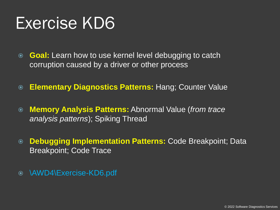- **Goal:** Learn how to use kernel level debugging to catch corruption caused by a driver or other process
- **Elementary Diagnostics Patterns:** Hang; Counter Value
- **Memory Analysis Patterns:** Abnormal Value (*from trace analysis patterns*); Spiking Thread
- **Debugging Implementation Patterns:** Code Breakpoint; Data Breakpoint; Code Trace
- \AWD4\Exercise-KD6.pdf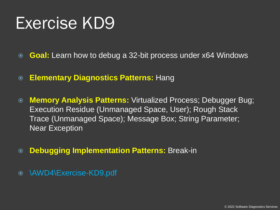- **Goal:** Learn how to debug a 32-bit process under x64 Windows
- **Elementary Diagnostics Patterns:** Hang
- **Memory Analysis Patterns:** Virtualized Process; Debugger Bug; Execution Residue (Unmanaged Space, User); Rough Stack Trace (Unmanaged Space); Message Box; String Parameter; Near Exception
- **Debugging Implementation Patterns:** Break-in
- \AWD4\Exercise-KD9.pdf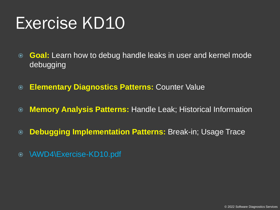- **Goal:** Learn how to debug handle leaks in user and kernel mode debugging
- **Elementary Diagnostics Patterns:** Counter Value
- **Memory Analysis Patterns:** Handle Leak; Historical Information
- **Debugging Implementation Patterns:** Break-in; Usage Trace
- \AWD4\Exercise-KD10.pdf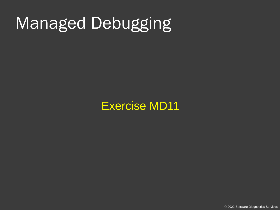### Managed Debugging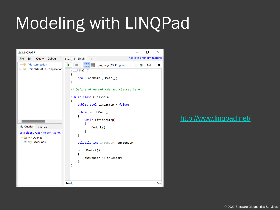## Modeling with LINQPad



#### <http://www.linqpad.net/>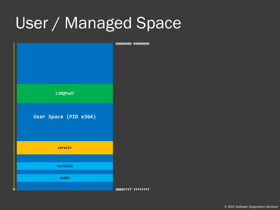#### User / Managed Space

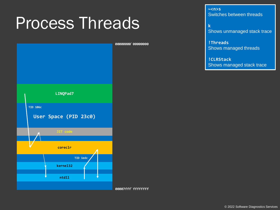#### Process Threads



**00007fff`ffffffff**

**~<n>s** Switches between threads

**k**  Shows unmanaged stack trace

**!Threads** Shows managed threads

**!CLRStack**  Shows managed stack trace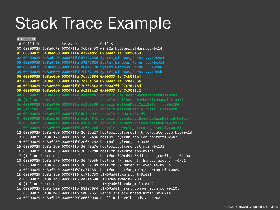#### Stack Trace Example

0:000> **kL** # Child-SP RetAddr Call Site 00 00000029`6e3add78 00007ffa`7eb90458 win32u!NtUserWaitMessage+0x14 **01 00000029`6e3add80 00007ffa`d7244d61 0x00007ffa`7eb90458 02 00000029`6e3ade40 00007ffa`d7247486 System\_Windows\_Forms!...+0x581 03 00000029`6e3adf50 00007ffa`d7247026 System\_Windows\_Forms!...+0x416 04 00000029`6e3ae000 00007ffa`d6ef212b System\_Windows\_Forms!...+0x46 05 00000029`6e3ae060 00007ffa`7cb021e4 System\_Windows\_Forms!...+0x3b 06 00000029`6e3ae0a0 00007ffa`7cae2534 0x00007ffa`7cb021e4 07 00000029`6e3ae350 00007ffa`7c70a16d 0x00007ffa`7cae2534 08 00000029`6e3ae680 00007ffa`7c7015c2 0x00007ffa`7c70a16d 09 00000029`6e3ae6e0 00007ffa`dc226ce3 0x00007ffa`7c7015c2 0a 00000029`6e3ae7b0 00007ffa`dc1bcc42 coreclr!CallDescrWorkerInternal+0x83 0b (Inline Function) --------`-------- coreclr!CallDescrWorkerWithHandler+0x57 0c 00000029`6e3ae7f0 00007ffa`dc1c3c09 coreclr!MethodDescCallSite::...+0x196 0d (Inline Function) --------`-------- coreclr!MethodDescCallSite::Call+0xb 0e 00000029`6e3ae930 00007ffa`dc1c4097 coreclr!RunMain+0x1f5 0f 00000029`6e3aeb10 00007ffa`dc1c4841 coreclr!Assembly::ExecuteMainMethod+0x1cb 10 00000029`6e3aeea0 00007ffa`dc0e21c1 coreclr!CorHost2::ExecuteAssembly+0x221 11 00000029`6e3af030 00007ffb`2ef54e2d coreclr!coreclr\_execute\_assembly+0x101** 12 00000029`6e3af0d0 00007ffb`2ef62e27 hostpolicy!coreclr\_t::execute\_assembly+0x2d 13 00000029`6e3af120 00007ffb`2ef62a36 hostpolicy!run\_app\_for\_context+0x387 14 00000029`6e3af280 00007ffb`2ef64262 hostpolicy!run\_app+0x46 15 00000029`6e3af2d0 00007ffb`36ff3a7e hostpolicy!corehost\_main+0x132 16 00000029`6e3af480 00007ffb`36ff72d8 hostfxr!execute\_app+0x1de 17 (Inline Function) --------`-------- hostfxr!?A0xd51c85dd::read\_config...+0x10a 18 00000029`6e3af570 00007ffb`36ff5b5b hostfxr!fx\_muxer\_t::handle\_exec\_...+0x214 19 00000029`6e3af660 00007ffb`36ff2109 hostfxr!fx\_muxer\_t::execute+0x39b 1a 00000029`6e3af7a0 00007ff6`ea712361 hostfxr!hostfxr\_main\_startupinfo+0x89 1b 00000029`6e3af8a0 00007ff6`ea712758 LINQPad6!exe\_start+0x651 1c 00000029`6e3afad0 00007ff6`ea714608 LINQPad6!wmain+0x88 1d (Inline Function) --------`-------- LINQPad6! invoke main+0x22 1e 00000029`6e3afb00 00007ffb`58387034 LINQPad6!\_\_scrt\_common\_main\_seh+0x10c 1f 00000029`6e3afb40 00007ffb`5a002651 kernel32!BaseThreadInitThunk+0x14 20 00000029`6e3afb70 00000000`00000000 ntdll!RtlUserThreadStart+0x21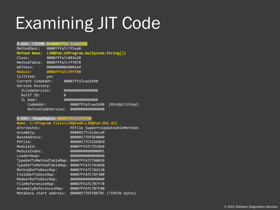## Examining JIT Code

0:000> **!IP2MD 0x00007ffa`7cae2534**

| MethodDesc:         |     | 00007ffa7c7f5aa0                      |
|---------------------|-----|---------------------------------------|
| <b>Method Name:</b> |     | LINQPad.UIProgram.Go(System.String[]) |
| Class:              |     | 00007ffa7c803a28                      |
| MethodTable:        |     | 00007ffa7c7f7078                      |
| mdToken:            |     | 00000000060001A4                      |
| Module:             |     | 00007ffa7c79f798                      |
| IsJitted:           | yes |                                       |
| Current CodeAddr:   |     | 00007ffa7cae1b90                      |
| Version History:    |     |                                       |
| ILCodeVersion:      |     | 000000000000000                       |
| ReJIT ID:           |     | Ø                                     |
| IL Addr:            |     | 000000000000000                       |
| CodeAddr:           |     | 00007ffa7cae1b90<br>(MinOptJitted)    |
|                     |     | NativeCodeVersion: 0000000000000000   |
|                     |     |                                       |

#### 0:000> **!DumpModule 00007ffa7c79f798**

#### **Name: C:\Program Files\LINQPad6\LINQPad.GUI.dll**

| Attributes:              | PEFile SupportsUpdateableMethods |
|--------------------------|----------------------------------|
| Assembly:                | 00000177c5cdece0                 |
| BaseAddress:             | 00000177DFDE0000                 |
| PEFile:                  | 00000177C5CDE0E0                 |
| ModuleId:                | 00007FFA7C7D1860                 |
| ModuleIndex:             | 000000000000001                  |
| LoaderHeap:              | 000000000000000                  |
| TypeDefToMethodTableMap: | 00007FFA7C7A0020                 |
| TypeRefToMethodTableMap: | 00007FFA7C7A1860                 |
| MethodDefToDescMap:      | 00007FFA7C7A4138                 |
| FieldDefToDescMap:       | 00007FFA7C7AF300                 |
| MemberRefToDescMap:      | 000000000000000                  |
| FileReferencesMap:       | 00007FFA7C7B7F78                 |
| AssemblyReferencesMap:   | 00007FFA7C7B7F80                 |
| MetaData start address:  | 00000177DFE887DC (719936 bytes)  |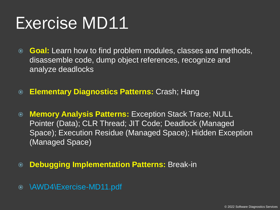- **Goal:** Learn how to find problem modules, classes and methods, disassemble code, dump object references, recognize and analyze deadlocks
- **Elementary Diagnostics Patterns:** Crash; Hang
- **Memory Analysis Patterns:** Exception Stack Trace; NULL Pointer (Data); CLR Thread; JIT Code; Deadlock (Managed Space); Execution Residue (Managed Space); Hidden Exception (Managed Space)
- **Debugging Implementation Patterns:** Break-in
- \AWD4\Exercise-MD11.pdf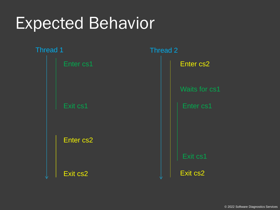#### Expected Behavior

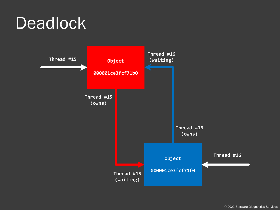#### **Deadlock**

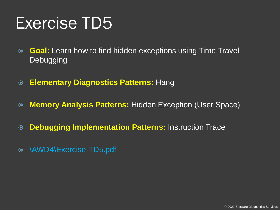- **Goal:** Learn how to find hidden exceptions using Time Travel **Debugging**
- **Elementary Diagnostics Patterns:** Hang
- **Memory Analysis Patterns:** Hidden Exception (User Space)
- **Debugging Implementation Patterns:** Instruction Trace
- \AWD4\Exercise-TD5.pdf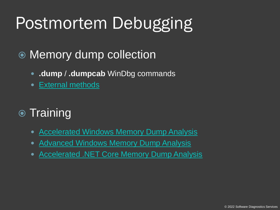## Postmortem Debugging

#### **◎ Memory dump collection**

- **.dump** / **.dumpcab** WinDbg commands
- [External methods](http://www.patterndiagnostics.com/files/LegacyWindowsDebugging.pdf)

#### **■** Training

- [Accelerated Windows Memory Dump Analysis](http://www.patterndiagnostics.com/accelerated-windows-memory-dump-analysis-book)
- [Advanced Windows Memory Dump Analysis](http://www.patterndiagnostics.com/advanced-windows-memory-dump-analysis-book)
- [Accelerated .NET Core Memory Dump Analysis](http://www.patterndiagnostics.com/accelerated-net-memory-dump-analysis-book)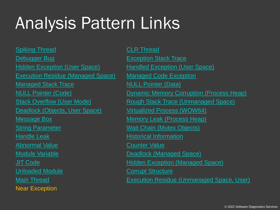## Analysis Pattern Links

[Spiking Thread](http://www.dumpanalysis.org/blog/index.php/2007/05/11/crash-dump-analysis-patterns-part-14/) [CLR Thread](http://www.dumpanalysis.org/blog/index.php/2009/12/07/crash-dump-analysis-patterns-part-95/) **[Debugger Bug](https://www.dumpanalysis.org/blog/index.php/2011/12/11/crash-dump-analysis-patterns-part-160/) [Exception Stack Trace](http://www.dumpanalysis.org/blog/index.php/2010/08/05/crash-dump-analysis-patterns-part-105/)** [Hidden Exception \(User Space\)](http://www.dumpanalysis.org/blog/index.php/2007/02/02/crash-dump-analysis-patterns-part-8/) [Handled Exception \(User Space\)](https://www.dumpanalysis.org/blog/index.php/2011/10/17/crash-dump-analysis-patterns-part-152a/) [Execution Residue \(Managed Space\)](https://www.dumpanalysis.org/blog/index.php/2011/10/17/crash-dump-analysis-patterns-part-60b/) [Managed Code Exception](http://www.dumpanalysis.org/blog/index.php/2007/07/20/crash-dump-analysis-patterns-part-17/) [Managed Stack Trace](http://www.dumpanalysis.org/blog/index.php/2011/06/17/crash-dump-analysis-patterns-part-139/) [NULL Pointer \(Data\)](http://www.dumpanalysis.org/blog/index.php/2009/04/14/crash-dump-analysis-patterns-part-6b/) [Deadlock \(Objects, User Space\)](http://www.dumpanalysis.org/blog/index.php/2007/07/28/crash-dump-analysis-patterns-part-9c/) [Virtualized Process \(WOW64\)](http://www.dumpanalysis.org/blog/index.php/2007/09/11/crash-dump-analysis-patterns-part-26/) [Message Box](http://www.dumpanalysis.org/blog/index.php/2008/02/19/crash-dump-analysis-patterns-part-51/) [Memory Leak \(Process Heap\)](http://www.dumpanalysis.org/blog/index.php/2007/08/06/crash-dump-analysis-patterns-part-20a/) [String Parameter](http://www.dumpanalysis.org/blog/index.php/2010/12/02/crash-dump-analysis-patterns-part-118/) [Wait Chain \(Mutex Objects\)](https://www.dumpanalysis.org/blog/index.php/2011/10/13/crash-dump-analysis-part-42j/) [Handle Leak](http://www.dumpanalysis.org/blog/index.php/2012/12/23/crash-dump-analysis-patterns-part-189/) **[Historical Information](http://www.dumpanalysis.org/blog/index.php/2007/11/06/crash-dump-analysis-patterns-part-34/)** [Abnormal Value](http://www.dumpanalysis.org/blog/index.php/2013/03/23/trace-analysis-patterns-part-68/) **[Counter Value](http://www.dumpanalysis.org/blog/index.php/2012/06/23/trace-analysis-patterns-part-51/)** [Module Variable](http://www.dumpanalysis.org/blog/index.php/2011/12/03/crash-dump-analysis-patterns-part-157/) **Module Variable Contract Contract Contract Contract Contract Contract Contract Contract Contract Contract Contract Contract Contract Contract Contract Contract Contract Contract Contract Contract Contrac** [Unloaded Module](https://www.dumpanalysis.org/blog/index.php/2012/06/27/crash-dump-analysis-patterns-part-178/) **[Corrupt Structure](https://www.dumpanalysis.org/blog/index.php/2015/02/21/crash-dump-analysis-patterns-part-221/)** Near Exception

[NULL Pointer \(Code\)](http://www.dumpanalysis.org/blog/index.php/2008/04/28/crash-dump-analysis-patterns-part-6a/) [Dynamic Memory Corruption \(Process Heap\)](http://www.dumpanalysis.org/blog/index.php/2006/10/31/crash-dump-analysis-patterns-part-2/) [Stack Overflow \(User Mode\)](http://www.dumpanalysis.org/blog/index.php/2008/06/10/crash-dump-analysis-patterns-part-16b/) [Rough Stack Trace \(Unmanaged Space\)](https://www.dumpanalysis.org/blog/index.php/2014/10/07/crash-dump-analysis-patterns-part-213/) [JIT Code](http://www.dumpanalysis.org/blog/index.php/2009/05/15/crash-dump-analysis-patterns-part-84/) [Hidden Exception \(Managed Space\)](https://www.dumpanalysis.org/blog/index.php/2018/08/11/crash-dump-analysis-patterns-part-8c/) [Main Thread](https://www.dumpanalysis.org/blog/index.php/2007/10/23/crash-dump-analysis-patterns-part-32/) [Execution Residue \(Unmanaged Space, User\)](http://www.dumpanalysis.org/blog/index.php/2008/04/29/crash-dump-analysis-patterns-part-60/)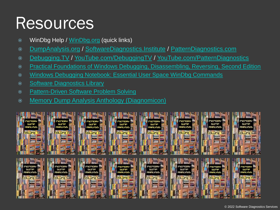#### Resources

- **WinDbg Help / [WinDbg.org](http://www.windbg.org/) (quick links)**
- [DumpAnalysis.org](http://www.dumpanalysis.org/) / [SoftwareDiagnostics.Institute](http://softwarediagnostics.institute/) / [PatternDiagnostics.com](http://www.patterndiagnostics.com/)
- [Debugging.TV](http://debugging.tv/) / [YouTube.com/DebuggingTV](https://www.youtube.com/DebuggingTV) / [YouTube.com/PatternDiagnostics](https://www.youtube.com/PatternDiagnostics)
- [Practical Foundations of Windows Debugging, Disassembling, Reversing, Second Edition](http://www.patterndiagnostics.com/practical-foundations-windows-debugging-disassembling-reversing)
- [Windows Debugging Notebook: Essential User Space WinDbg Commands](http://www.dumpanalysis.org/Forthcoming+Windows+Debugging+Notebook)
- [Software Diagnostics Library](http://www.dumpanalysis.org/blog/)
- [Pattern-Driven Software Problem Solving](http://www.dumpanalysis.org/pattern-driven-software-problem-solving)
- [Memory Dump Analysis Anthology \(Diagnomicon\)](https://www.patterndiagnostics.com/mdaa-volumes)

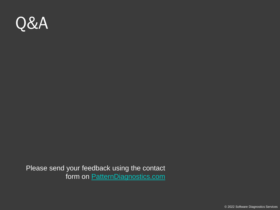

Please send your feedback using the contact form on [PatternDiagnostics.com](http://www.patterndiagnostics.com/)